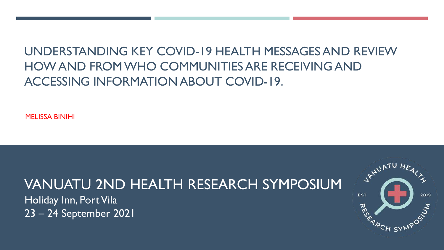### UNDERSTANDING KEY COVID-19 HEALTH MESSAGES AND REVIEW HOW AND FROM WHO COMMUNITIES ARE RECEIVING AND ACCESSING INFORMATION ABOUT COVID-19.

MELISSA BINIHI

# VANUATU 2ND HEALTH RESEARCH SYMPOSIUM

Holiday Inn, Port Vila 23 – 24 September 2021

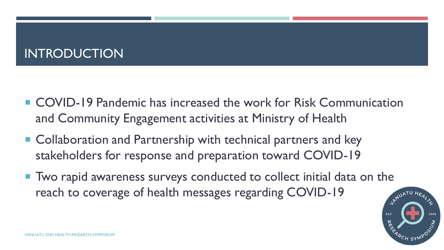### INTRODUCTION

- COVID-19 Pandemic has increased the work for Risk Communication and Community Engagement activities at Ministry of Health
- Collaboration and Partnership with technical partners and key stakeholders for response and preparation toward COVID-19
- Two rapid awareness surveys conducted to collect initial data on the reach to coverage of health messages regarding COVID-19

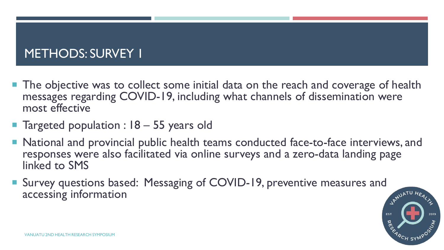## METHODS: SURVEY 1

- **The objective was to collect some initial data on the reach and coverage of health** messages regarding COVID-19, including what channels of dissemination were most effective
- Targeted population : 18 55 years old
- National and provincial public health teams conducted face-to-face interviews, and responses were also facilitated via online surveys and a zero-data landing page linked to SMS
- Survey questions based: Messaging of COVID-19, preventive measures and accessing information

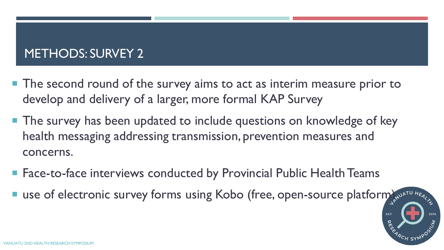## METHODS: SURVEY 2

- The second round of the survey aims to act as interim measure prior to develop and delivery of a larger, more formal KAP Survey
- $\blacksquare$  The survey has been updated to include questions on knowledge of key health messaging addressing transmission, prevention measures and concerns.
- Face-to-face interviews conducted by Provincial Public Health Teams
- **use of electronic survey forms using Kobo (free, open-source platform) x^{U^{\text{ATU H}} \epsilon\_{\text{ATU}} \cdot H \epsilon\_{\text{ATU}} \cdot H \epsilon\_{\text{ATU}} \cdot H \epsilon\_{\text{ATU}} \cdot H \epsilon\_{\text{ATU}} \cdot H \epsilon\_{\text{ATU}} \cdot H \epsilon\_{\text{ATU}} \cdot H \epsilon\_{\text{ATU}} \cdot H \epsilon\_{\text{ATU}} \cdot H \epsilon\_{\text{ATU}} \cdot H \epsilon\_{\text{ATU}} \cdot H \epsilon\_{\text{**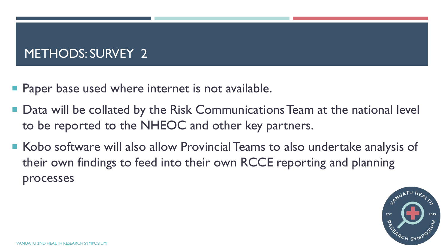### METHODS: SURVEY 2

- **Paper base used where internet is not available.**
- Data will be collated by the Risk Communications Team at the national level to be reported to the NHEOC and other key partners.
- Kobo software will also allow Provincial Teams to also undertake analysis of their own findings to feed into their own RCCE reporting and planning processes

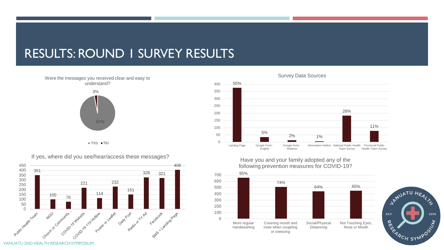#### RESULTS: ROUND 1 SURVEY RESULTS

97% 3% Were the messages you received clear and easy to understand?

 $Yes$  No

If yes, where did you see/hear/access these messages?





Have you and your family adopted any of the following prevention measures for COVID-19?



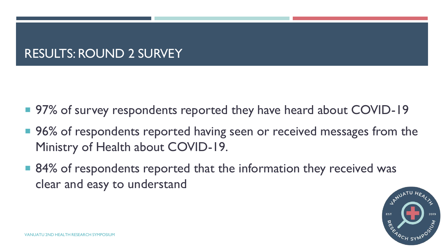#### RESULTS: ROUND 2 SURVEY

- 97% of survey respondents reported they have heard about COVID-19
- 96% of respondents reported having seen or received messages from the Ministry of Health about COVID-19.
- 84% of respondents reported that the information they received was clear and easy to understand

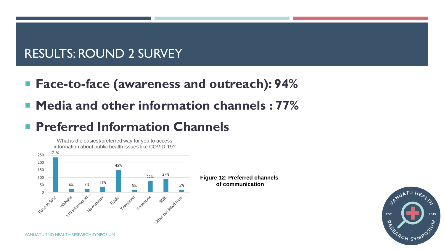#### RESULTS: ROUND 2 SURVEY

- **Face-to-face (awareness and outreach): 94%**
- **Media and other information channels : 77%**

## **Preferred Information Channels**



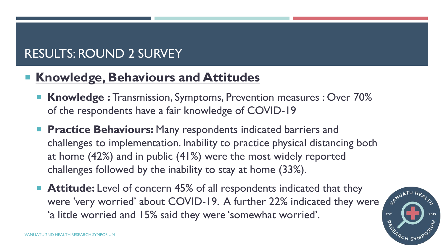## RESULTS: ROUND 2 SURVEY

## **Knowledge, Behaviours and Attitudes**

- **Knowledge :** Transmission, Symptoms, Prevention measures : Over 70% of the respondents have a fair knowledge of COVID-19
- **Practice Behaviours:** Many respondents indicated barriers and challenges to implementation. Inability to practice physical distancing both at home (42%) and in public (41%) were the most widely reported challenges followed by the inability to stay at home (33%).
- **Attitude:** Level of concern 45% of all respondents indicated that they were 'very worried' about COVID-19. A further 22% indicated they were 'a little worried and 15% said they were 'somewhat worried'.

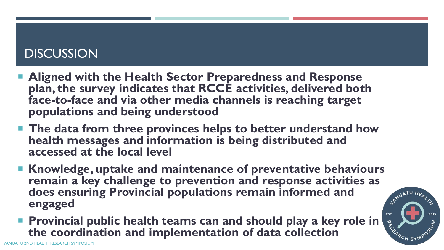#### **DISCUSSION**

- **Aligned with the Health Sector Preparedness and Response plan, the survey indicates that RCCE activities, delivered both face-to-face and via other media channels is reaching target populations and being understood**
- **The data from three provinces helps to better understand how health messages and information is being distributed and accessed at the local level**
- **Knowledge, uptake and maintenance of preventative behaviours remain a key challenge to prevention and response activities as<br>does ensuring Provincial populations remain informed and<br>engaged does ensuring Provincial populations remain informed and engaged**
- **Provincial public health teams can and should play a key role in the coordination and implementation of data collection**

**RESP** 

<sup>'A</sup>CH SYN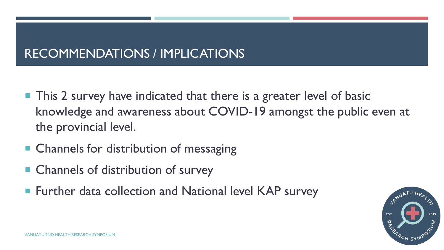### RECOMMENDATIONS / IMPLICATIONS

- $\blacksquare$  This 2 survey have indicated that there is a greater level of basic knowledge and awareness about COVID-19 amongst the public even at the provincial level.
- Channels for distribution of messaging
- Channels of distribution of survey
- Further data collection and National level KAP survey